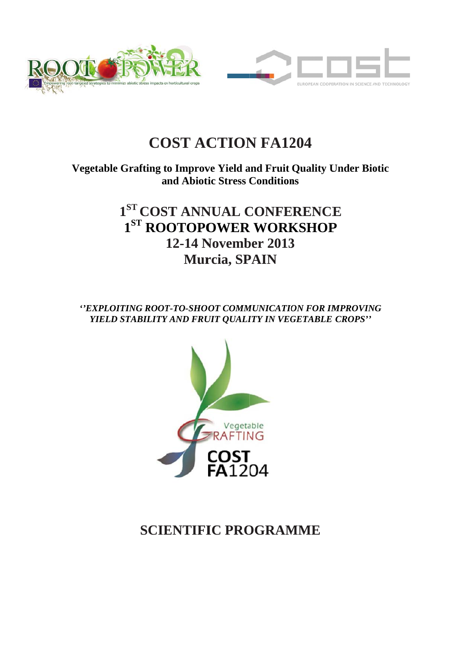

# **COST ACTION FA1204**

Vegetable Grafting to Improve Yield and Fruit Quality Under Biotic and Abiotic Stress Conditions

# 1<sup>ST</sup> COST ANNUAL CONFERENCE  $1<sup>ST</sup>$  ROOTOPOWER WORKSHOP **12-14 N Novemb ber 2013 3**  $Murcia, SPAIN$

*''EXPLOITING ROOT-TO-SHOOT COMMUNICATION FOR IMPROVING YIELD STABILITY AND FRUIT QUALITY IN VEGETABLE CROPS''* 



# **SCIENTIFIC PROGRAMME**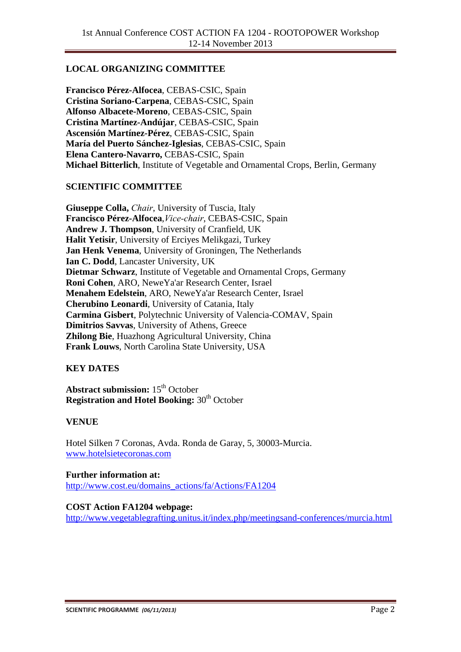## **LOCAL ORGANIZING COMMITTEE**

**Francisco Pérez-Alfocea**, CEBAS-CSIC, Spain **Cristina Soriano-Carpena**, CEBAS-CSIC, Spain **Alfonso Albacete-Moreno**, CEBAS-CSIC, Spain **Cristina Martínez-Andújar**, CEBAS-CSIC, Spain **Ascensión Martínez-Pérez**, CEBAS-CSIC, Spain **María del Puerto Sánchez-Iglesias**, CEBAS-CSIC, Spain **Elena Cantero-Navarro,** CEBAS-CSIC, Spain **Michael Bitterlich**, Institute of Vegetable and Ornamental Crops, Berlin, Germany

### **SCIENTIFIC COMMITTEE**

**Giuseppe Colla,** *Chair*, University of Tuscia, Italy **Francisco Pérez-Alfocea**,*Vice-chair*, CEBAS-CSIC, Spain **Andrew J. Thompson**, University of Cranfield, UK **Halit Yetisir**, University of Erciyes Melikgazi, Turkey **Jan Henk Venema**, University of Groningen, The Netherlands **Ian C. Dodd**, Lancaster University, UK **Dietmar Schwarz**, Institute of Vegetable and Ornamental Crops, Germany **Roni Cohen**, ARO, NeweYa'ar Research Center, Israel **Menahem Edelstein**, ARO, NeweYa'ar Research Center, Israel **Cherubino Leonardi**, University of Catania, Italy **Carmina Gisbert**, Polytechnic University of Valencia-COMAV, Spain **Dimitrios Savvas**, University of Athens, Greece **Zhilong Bie**, Huazhong Agricultural University, China **Frank Louws**, North Carolina State University, USA

### **KEY DATES**

**Abstract submission:** 15th October **Registration and Hotel Booking:** 30<sup>th</sup> October

### **VENUE**

Hotel Silken 7 Coronas, Avda. Ronda de Garay, 5, 30003-Murcia. www.hotelsietecoronas.com

#### **Further information at:**

http://www.cost.eu/domains\_actions/fa/Actions/FA1204

#### **COST Action FA1204 webpage:**

http://www.vegetablegrafting.unitus.it/index.php/meetingsand-conferences/murcia.html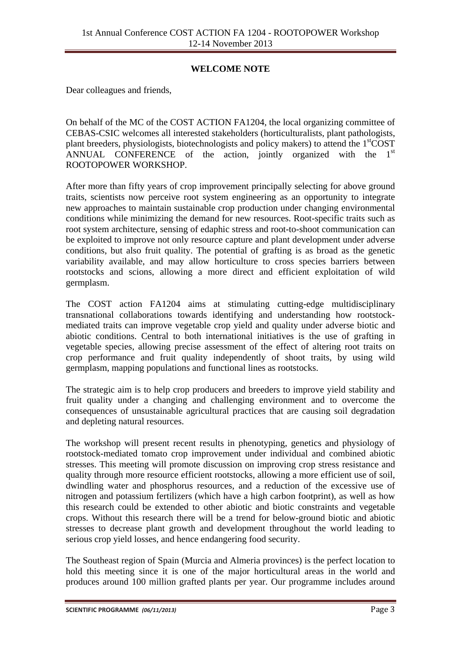## **WELCOME NOTE**

Dear colleagues and friends,

On behalf of the MC of the COST ACTION FA1204, the local organizing committee of CEBAS-CSIC welcomes all interested stakeholders (horticulturalists, plant pathologists, plant breeders, physiologists, biotechnologists and policy makers) to attend the 1<sup>st</sup>COST ANNUAL CONFERENCE of the action, jointly organized with the  $1<sup>st</sup>$ ROOTOPOWER WORKSHOP.

After more than fifty years of crop improvement principally selecting for above ground traits, scientists now perceive root system engineering as an opportunity to integrate new approaches to maintain sustainable crop production under changing environmental conditions while minimizing the demand for new resources. Root-specific traits such as root system architecture, sensing of edaphic stress and root-to-shoot communication can be exploited to improve not only resource capture and plant development under adverse conditions, but also fruit quality. The potential of grafting is as broad as the genetic variability available, and may allow horticulture to cross species barriers between rootstocks and scions, allowing a more direct and efficient exploitation of wild germplasm.

The COST action FA1204 aims at stimulating cutting-edge multidisciplinary transnational collaborations towards identifying and understanding how rootstockmediated traits can improve vegetable crop yield and quality under adverse biotic and abiotic conditions. Central to both international initiatives is the use of grafting in vegetable species, allowing precise assessment of the effect of altering root traits on crop performance and fruit quality independently of shoot traits, by using wild germplasm, mapping populations and functional lines as rootstocks.

The strategic aim is to help crop producers and breeders to improve yield stability and fruit quality under a changing and challenging environment and to overcome the consequences of unsustainable agricultural practices that are causing soil degradation and depleting natural resources.

The workshop will present recent results in phenotyping, genetics and physiology of rootstock-mediated tomato crop improvement under individual and combined abiotic stresses. This meeting will promote discussion on improving crop stress resistance and quality through more resource efficient rootstocks, allowing a more efficient use of soil, dwindling water and phosphorus resources, and a reduction of the excessive use of nitrogen and potassium fertilizers (which have a high carbon footprint), as well as how this research could be extended to other abiotic and biotic constraints and vegetable crops. Without this research there will be a trend for below-ground biotic and abiotic stresses to decrease plant growth and development throughout the world leading to serious crop yield losses, and hence endangering food security.

The Southeast region of Spain (Murcia and Almeria provinces) is the perfect location to hold this meeting since it is one of the major horticultural areas in the world and produces around 100 million grafted plants per year. Our programme includes around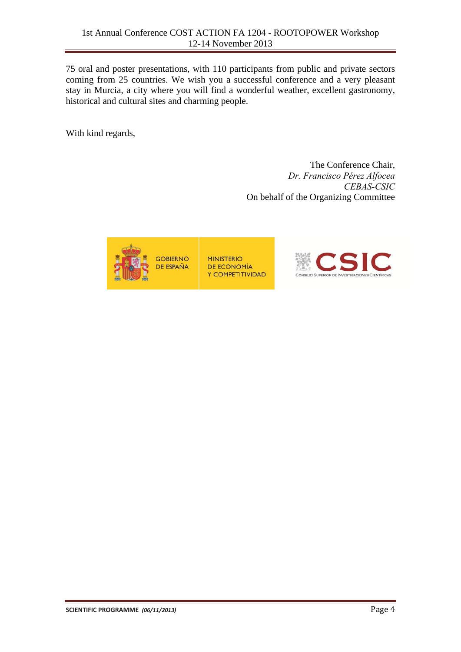75 oral and poster presentations, with 110 participants from public and private sectors coming from 25 countries. We wish you a successful conference and a very pleasant stay in Murcia, a city where you will find a wonderful weather, excellent gastronomy, historical and cultural sites and charming people.

With kind regards,

The Conference Chair, *Dr. Francisco Pérez Alfocea CEBAS-CSIC*  On behalf of the Organizing Committee

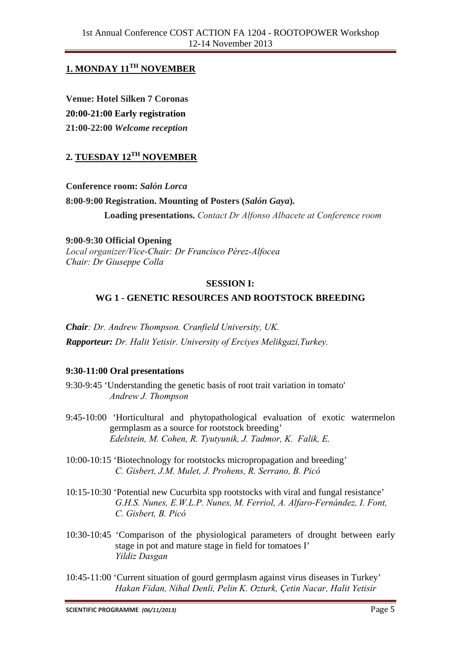# **1. MONDAY 11TH NOVEMBER**

**Venue: Hotel Silken 7 Coronas 20:00-21:00 Early registration 21:00-22:00** *Welcome reception* 

# **2. TUESDAY 12TH NOVEMBER**

**Conference room:** *Salón Lorca* **8:00-9:00 Registration. Mounting of Posters (***Salón Gaya***). Loading presentations.** *Contact Dr Alfonso Albacete at Conference room* 

**9:00-9:30 Official Opening**  *Local organizer/Vice-Chair: Dr Francisco Pérez-Alfocea Chair: Dr Giuseppe Colla* 

#### **SESSION I:**

## **WG 1 - GENETIC RESOURCES AND ROOTSTOCK BREEDING**

*Chair: Dr. Andrew Thompson. Cranfield University, UK. Rapporteur: Dr. Halit Yetisir. University of Erciyes Melikgazi,Turkey.* 

### **9:30-11:00 Oral presentations**

- 9:30-9:45 'Understanding the genetic basis of root trait variation in tomato' *Andrew J. Thompson*
- 9:45-10:00 'Horticultural and phytopathological evaluation of exotic watermelon germplasm as a source for rootstock breeding' *Edelstein, M. Cohen, R. Tyutyunik, J. Tadmor, K. Falik, E.*
- 10:00-10:15 'Biotechnology for rootstocks micropropagation and breeding' *C. Gisbert, J.M. Mulet, J. Prohens, R. Serrano, B. Picó*
- 10:15-10:30 'Potential new Cucurbita spp rootstocks with viral and fungal resistance' *G.H.S. Nunes, E.W.L.P. Nunes, M. Ferriol, A. Alfaro-Fernández, I. Font, C. Gisbert, B. Picó*
- 10:30-10:45 'Comparison of the physiological parameters of drought between early stage in pot and mature stage in field for tomatoes I' *Yildiz Dasgan*
- 10:45-11:00 'Current situation of gourd germplasm against virus diseases in Turkey' *Hakan Fidan, Nihal Denli, Pelin K. Ozturk, Çetin Nacar, Halit Yetisir*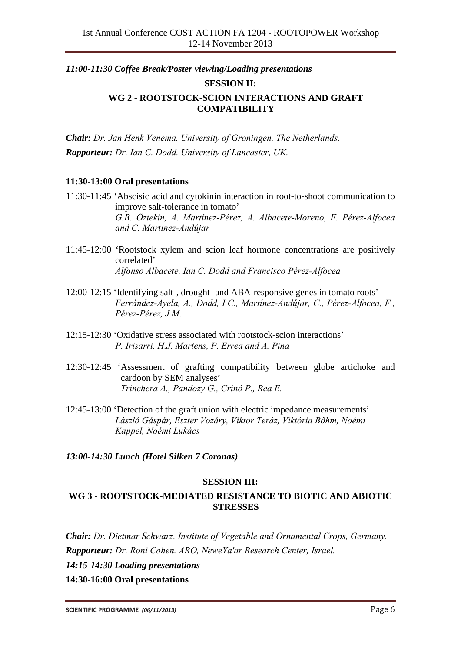# *11:00-11:30 Coffee Break/Poster viewing/Loading presentations* **SESSION II: WG 2 - ROOTSTOCK-SCION INTERACTIONS AND GRAFT COMPATIBILITY**

*Chair: Dr. Jan Henk Venema. University of Groningen, The Netherlands. Rapporteur: Dr. Ian C. Dodd. University of Lancaster, UK.* 

### **11:30-13:00 Oral presentations**

- 11:30-11:45 'Abscisic acid and cytokinin interaction in root-to-shoot communication to improve salt-tolerance in tomato' *G.B. Öztekin, A. Martínez-Pérez, A. Albacete-Moreno, F. Pérez-Alfocea and C. Martinez-Andújar*
- 11:45-12:00 'Rootstock xylem and scion leaf hormone concentrations are positively correlated' *Alfonso Albacete, Ian C. Dodd and Francisco Pérez-Alfocea*
- 12:00-12:15 'Identifying salt-, drought- and ABA-responsive genes in tomato roots' *Ferrández-Ayela, A., Dodd, I.C., Martínez-Andújar, C., Pérez-Alfocea, F., Pérez-Pérez, J.M.*
- 12:15-12:30 'Oxidative stress associated with rootstock-scion interactions' *P. Irisarri, H.J. Martens, P. Errea and A. Pina*
- 12:30-12:45 'Assessment of grafting compatibility between globe artichoke and cardoon by SEM analyses' *Trinchera A., Pandozy G., Crinò P., Rea E.*
- 12:45-13:00 'Detection of the graft union with electric impedance measurements' *László Gáspár, Eszter Vozáry, Viktor Teráz, Viktória Bőhm, Noémi Kappel, Noémi Lukács*

### *13:00-14:30 Lunch (Hotel Silken 7 Coronas)*

### **SESSION III:**

## **WG 3 - ROOTSTOCK-MEDIATED RESISTANCE TO BIOTIC AND ABIOTIC STRESSES**

*Chair: Dr. Dietmar Schwarz. Institute of Vegetable and Ornamental Crops, Germany. Rapporteur: Dr. Roni Cohen. ARO, NeweYa'ar Research Center, Israel.* 

*14:15-14:30 Loading presentations* 

**14:30-16:00 Oral presentations**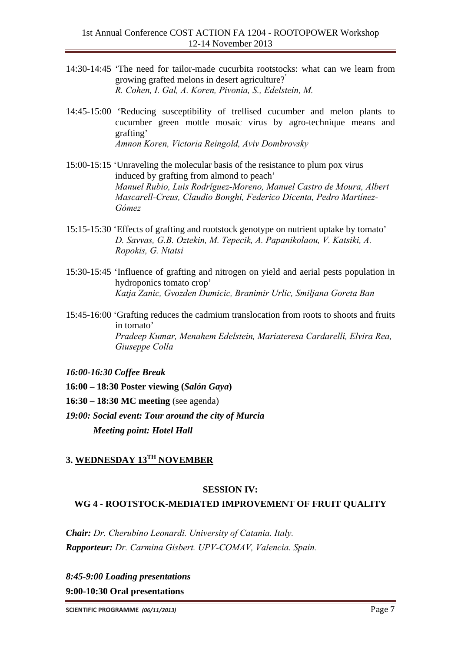- 14:30-14:45 'The need for tailor-made cucurbita rootstocks: what can we learn from growing grafted melons in desert agriculture?' *R. Cohen, I. Gal, A. Koren, Pivonia, S., Edelstein, M.*
- 14:45-15:00 'Reducing susceptibility of trellised cucumber and melon plants to cucumber green mottle mosaic virus by agro-technique means and grafting' *Amnon Koren, Victoria Reingold, Aviv Dombrovsky*
- 15:00-15:15 'Unraveling the molecular basis of the resistance to plum pox virus induced by grafting from almond to peach' *Manuel Rubio, Luis Rodríguez-Moreno, Manuel Castro de Moura, Albert Mascarell-Creus, Claudio Bonghi, Federico Dicenta, Pedro Martínez-Gómez*
- 15:15-15:30 'Effects of grafting and rootstock genotype on nutrient uptake by tomato' *D. Savvas, G.B. Oztekin, M. Tepecik, A. Papanikolaou, V. Katsiki, A. Ropokis, G. Ntatsi*
- 15:30-15:45 'Influence of grafting and nitrogen on yield and aerial pests population in hydroponics tomato crop' *Katja Zanic, Gvozden Dumicic, Branimir Urlic, Smiljana Goreta Ban*
- 15:45-16:00 'Grafting reduces the cadmium translocation from roots to shoots and fruits in tomato' *Pradeep Kumar, Menahem Edelstein, Mariateresa Cardarelli, Elvira Rea, Giuseppe Colla*
- *16:00-16:30 Coffee Break*

**16:00 – 18:30 Poster viewing (***Salón Gaya***)** 

- **16:30 18:30 MC meeting** (see agenda)
- *19:00: Social event: Tour around the city of Murcia Meeting point: Hotel Hall*

## **3. WEDNESDAY 13TH NOVEMBER**

#### **SESSION IV:**

# **WG 4 - ROOTSTOCK-MEDIATED IMPROVEMENT OF FRUIT QUALITY**

*Chair: Dr. Cherubino Leonardi. University of Catania. Italy. Rapporteur: Dr. Carmina Gisbert. UPV-COMAV, Valencia. Spain.* 

*8:45-9:00 Loading presentations* 

**9:00-10:30 Oral presentations**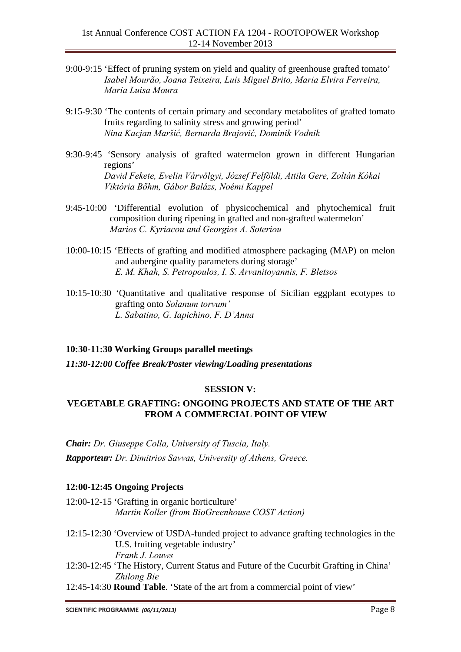- 9:00-9:15 'Effect of pruning system on yield and quality of greenhouse grafted tomato' *Isabel Mourão, Joana Teixeira, Luis Miguel Brito, Maria Elvira Ferreira, Maria Luisa Moura*
- 9:15-9:30 'The contents of certain primary and secondary metabolites of grafted tomato fruits regarding to salinity stress and growing period' *Nina Kacjan Maršić, Bernarda Brajović, Dominik Vodnik*
- 9:30-9:45 'Sensory analysis of grafted watermelon grown in different Hungarian regions' *David Fekete, Evelin Várvölgyi, József Felföldi, Attila Gere, Zoltán Kókai Viktória Bőhm, Gábor Balázs, Noémi Kappel*
- 9:45-10:00 'Differential evolution of physicochemical and phytochemical fruit composition during ripening in grafted and non-grafted watermelon' *Marios C. Kyriacou and Georgios A. Soteriou*
- 10:00-10:15 'Effects of grafting and modified atmosphere packaging (MAP) on melon and aubergine quality parameters during storage' *E. M. Khah, S. Petropoulos, I. S. Arvanitoyannis, F. Bletsos*
- 10:15-10:30 'Quantitative and qualitative response of Sicilian eggplant ecotypes to grafting onto *Solanum torvum' L. Sabatino, G. Iapichino, F. D'Anna*

### **10:30-11:30 Working Groups parallel meetings**

*11:30-12:00 Coffee Break/Poster viewing/Loading presentations* 

#### **SESSION V:**

### **VEGETABLE GRAFTING: ONGOING PROJECTS AND STATE OF THE ART FROM A COMMERCIAL POINT OF VIEW**

*Chair: Dr. Giuseppe Colla, University of Tuscia, Italy. Rapporteur: Dr. Dimitrios Savvas, University of Athens, Greece.* 

### **12:00-12:45 Ongoing Projects**

- 12:00-12-15 'Grafting in organic horticulture' *Martin Koller (from BioGreenhouse COST Action)*
- 12:15-12:30 'Overview of USDA-funded project to advance grafting technologies in the U.S. fruiting vegetable industry' *Frank J. Louws*
- 12:30-12:45 'The History, Current Status and Future of the Cucurbit Grafting in China' *Zhilong Bie*
- 12:45-14:30 **Round Table**. 'State of the art from a commercial point of view'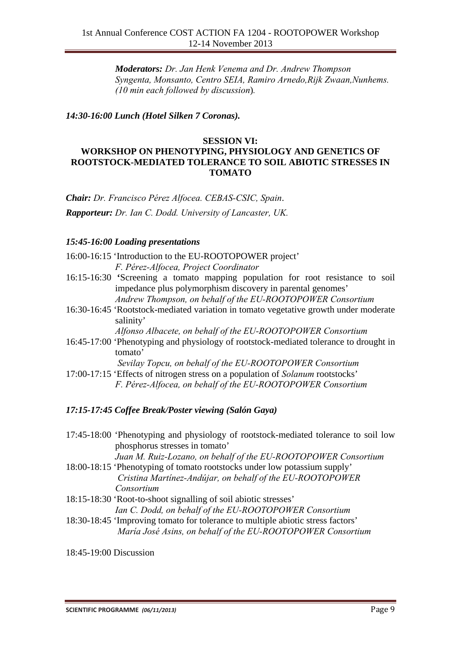*Moderators: Dr. Jan Henk Venema and Dr. Andrew Thompson Syngenta, Monsanto, Centro SEIA, Ramiro Arnedo,Rijk Zwaan,Nunhems. (10 min each followed by discussion*)*.*

*14:30-16:00 Lunch (Hotel Silken 7 Coronas).* 

#### **SESSION VI: WORKSHOP ON PHENOTYPING, PHYSIOLOGY AND GENETICS OF ROOTSTOCK-MEDIATED TOLERANCE TO SOIL ABIOTIC STRESSES IN TOMATO**

*Chair: Dr. Francisco Pérez Alfocea. CEBAS-CSIC, Spain*.

*Rapporteur: Dr. Ian C. Dodd. University of Lancaster, UK.* 

### *15:45-16:00 Loading presentations*

- 16:00-16:15 'Introduction to the EU-ROOTOPOWER project' *F. Pérez-Alfocea, Project Coordinator*
- 16:15-16:30 **'**Screening a tomato mapping population for root resistance to soil impedance plus polymorphism discovery in parental genomes' *Andrew Thompson, on behalf of the EU-ROOTOPOWER Consortium*
- 16:30-16:45 'Rootstock-mediated variation in tomato vegetative growth under moderate salinity'

*Alfonso Albacete, on behalf of the EU-ROOTOPOWER Consortium* 

16:45-17:00 'Phenotyping and physiology of rootstock-mediated tolerance to drought in tomato'

*Sevilay Topcu, on behalf of the EU-ROOTOPOWER Consortium*

17:00-17:15 'Effects of nitrogen stress on a population of *Solanum* rootstocks' *F. Pérez-Alfocea, on behalf of the EU-ROOTOPOWER Consortium* 

### *17:15-17:45 Coffee Break/Poster viewing (Salón Gaya)*

17:45-18:00 'Phenotyping and physiology of rootstock-mediated tolerance to soil low phosphorus stresses in tomato'

*Juan M. Ruiz-Lozano, on behalf of the EU-ROOTOPOWER Consortium* 

- 18:00-18:15 'Phenotyping of tomato rootstocks under low potassium supply'  *Cristina Martínez-Andújar, on behalf of the EU-ROOTOPOWER Consortium*
- 18:15-18:30 'Root-to-shoot signalling of soil abiotic stresses' *Ian C. Dodd, on behalf of the EU-ROOTOPOWER Consortium*
- 18:30-18:45 'Improving tomato for tolerance to multiple abiotic stress factors' *María José Asins, on behalf of the EU-ROOTOPOWER Consortium*

18:45-19:00 Discussion